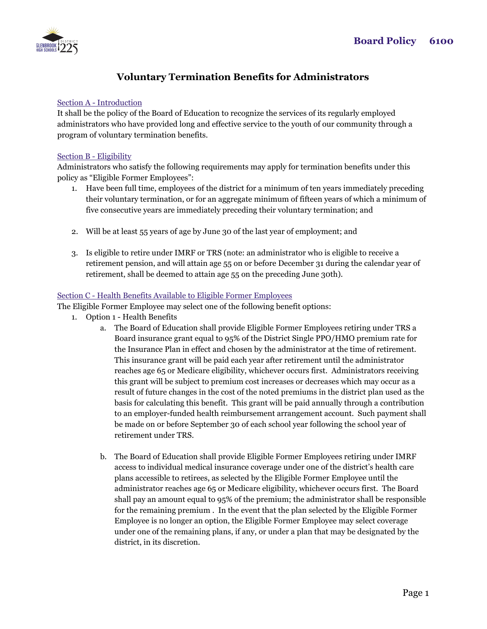

# **Voluntary Termination Benefits for Administrators**

## Section A - Introduction

It shall be the policy of the Board of Education to recognize the services of its regularly employed administrators who have provided long and effective service to the youth of our community through a program of voluntary termination benefits.

### Section B - Eligibility

Administrators who satisfy the following requirements may apply for termination benefits under this policy as "Eligible Former Employees":

- 1. Have been full time, employees of the district for a minimum of ten years immediately preceding their voluntary termination, or for an aggregate minimum of fifteen years of which a minimum of five consecutive years are immediately preceding their voluntary termination; and
- 2. Will be at least 55 years of age by June 30 of the last year of employment; and
- 3. Is eligible to retire under IMRF or TRS (note: an administrator who is eligible to receive a retirement pension, and will attain age 55 on or before December 31 during the calendar year of retirement, shall be deemed to attain age 55 on the preceding June 30th).

### Section C - Health Benefits Available to Eligible Former Employees

The Eligible Former Employee may select one of the following benefit options:

- 1. Option 1 Health Benefits
	- a. The Board of Education shall provide Eligible Former Employees retiring under TRS a Board insurance grant equal to 95% of the District Single PPO/HMO premium rate for the Insurance Plan in effect and chosen by the administrator at the time of retirement. This insurance grant will be paid each year after retirement until the administrator reaches age 65 or Medicare eligibility, whichever occurs first. Administrators receiving this grant will be subject to premium cost increases or decreases which may occur as a result of future changes in the cost of the noted premiums in the district plan used as the basis for calculating this benefit. This grant will be paid annually through a contribution to an employer-funded health reimbursement arrangement account. Such payment shall be made on or before September 30 of each school year following the school year of retirement under TRS.
	- b. The Board of Education shall provide Eligible Former Employees retiring under IMRF access to individual medical insurance coverage under one of the district's health care plans accessible to retirees, as selected by the Eligible Former Employee until the administrator reaches age 65 or Medicare eligibility, whichever occurs first. The Board shall pay an amount equal to 95% of the premium; the administrator shall be responsible for the remaining premium . In the event that the plan selected by the Eligible Former Employee is no longer an option, the Eligible Former Employee may select coverage under one of the remaining plans, if any, or under a plan that may be designated by the district, in its discretion.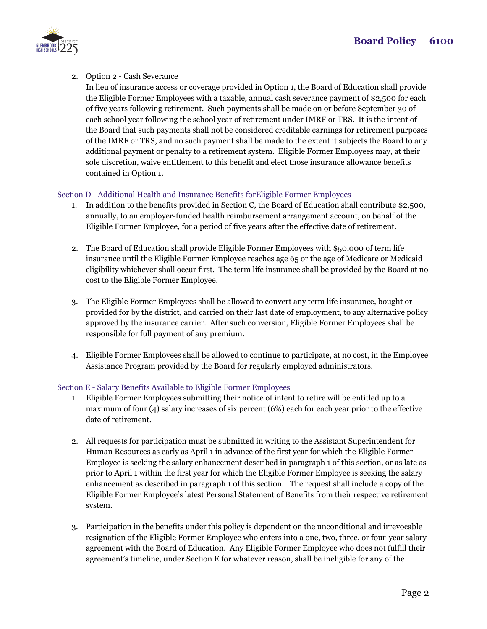

2. Option 2 - Cash Severance

In lieu of insurance access or coverage provided in Option 1, the Board of Education shall provide the Eligible Former Employees with a taxable, annual cash severance payment of \$2,500 for each of five years following retirement. Such payments shall be made on or before September 30 of each school year following the school year of retirement under IMRF or TRS. It is the intent of the Board that such payments shall not be considered creditable earnings for retirement purposes of the IMRF or TRS, and no such payment shall be made to the extent it subjects the Board to any additional payment or penalty to a retirement system. Eligible Former Employees may, at their sole discretion, waive entitlement to this benefit and elect those insurance allowance benefits contained in Option 1.

# Section D - Additional Health and Insurance Benefits forEligible Former Employees

- 1. In addition to the benefits provided in Section C, the Board of Education shall contribute \$2,500, annually, to an employer-funded health reimbursement arrangement account, on behalf of the Eligible Former Employee, for a period of five years after the effective date of retirement.
- 2. The Board of Education shall provide Eligible Former Employees with \$50,000 of term life insurance until the Eligible Former Employee reaches age 65 or the age of Medicare or Medicaid eligibility whichever shall occur first. The term life insurance shall be provided by the Board at no cost to the Eligible Former Employee.
- 3. The Eligible Former Employees shall be allowed to convert any term life insurance, bought or provided for by the district, and carried on their last date of employment, to any alternative policy approved by the insurance carrier. After such conversion, Eligible Former Employees shall be responsible for full payment of any premium.
- 4. Eligible Former Employees shall be allowed to continue to participate, at no cost, in the Employee Assistance Program provided by the Board for regularly employed administrators.

# Section E - Salary Benefits Available to Eligible Former Employees

- 1. Eligible Former Employees submitting their notice of intent to retire will be entitled up to a maximum of four (4) salary increases of six percent (6%) each for each year prior to the effective date of retirement.
- 2. All requests for participation must be submitted in writing to the Assistant Superintendent for Human Resources as early as April 1 in advance of the first year for which the Eligible Former Employee is seeking the salary enhancement described in paragraph 1 of this section, or as late as prior to April 1 within the first year for which the Eligible Former Employee is seeking the salary enhancement as described in paragraph 1 of this section. The request shall include a copy of the Eligible Former Employee's latest Personal Statement of Benefits from their respective retirement system.
- 3. Participation in the benefits under this policy is dependent on the unconditional and irrevocable resignation of the Eligible Former Employee who enters into a one, two, three, or four-year salary agreement with the Board of Education. Any Eligible Former Employee who does not fulfill their agreement's timeline, under Section E for whatever reason, shall be ineligible for any of the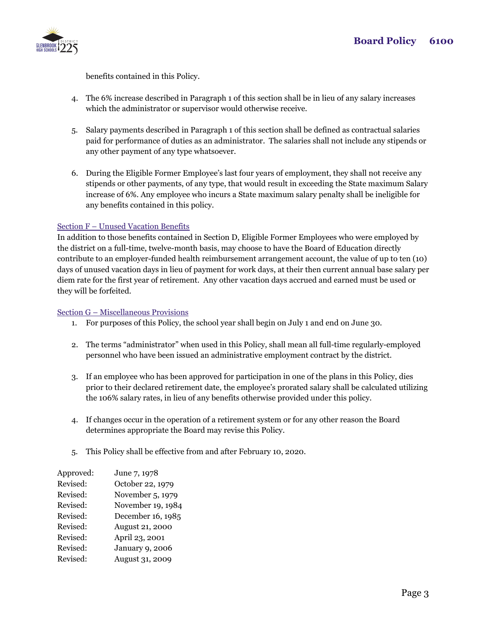

benefits contained in this Policy.

- 4. The 6% increase described in Paragraph 1 of this section shall be in lieu of any salary increases which the administrator or supervisor would otherwise receive.
- 5. Salary payments described in Paragraph 1 of this section shall be defined as contractual salaries paid for performance of duties as an administrator. The salaries shall not include any stipends or any other payment of any type whatsoever.
- 6. During the Eligible Former Employee's last four years of employment, they shall not receive any stipends or other payments, of any type, that would result in exceeding the State maximum Salary increase of 6%. Any employee who incurs a State maximum salary penalty shall be ineligible for any benefits contained in this policy.

# Section F – Unused Vacation Benefits

In addition to those benefits contained in Section D, Eligible Former Employees who were employed by the district on a full-time, twelve-month basis, may choose to have the Board of Education directly contribute to an employer-funded health reimbursement arrangement account, the value of up to ten (10) days of unused vacation days in lieu of payment for work days, at their then current annual base salary per diem rate for the first year of retirement. Any other vacation days accrued and earned must be used or they will be forfeited.

# Section G – Miscellaneous Provisions

- 1. For purposes of this Policy, the school year shall begin on July 1 and end on June 30.
- 2. The terms "administrator" when used in this Policy, shall mean all full-time regularly-employed personnel who have been issued an administrative employment contract by the district.
- 3. If an employee who has been approved for participation in one of the plans in this Policy, dies prior to their declared retirement date, the employee's prorated salary shall be calculated utilizing the 106% salary rates, in lieu of any benefits otherwise provided under this policy.
- 4. If changes occur in the operation of a retirement system or for any other reason the Board determines appropriate the Board may revise this Policy.
- 5. This Policy shall be effective from and after February 10, 2020.

| Approved: | June 7, 1978           |
|-----------|------------------------|
| Revised:  | October 22, 1979       |
| Revised:  | November 5, 1979       |
| Revised:  | November 19, 1984      |
| Revised:  | December 16, 1985      |
| Revised:  | August 21, 2000        |
| Revised:  | April 23, 2001         |
| Revised:  | <b>January 9, 2006</b> |
| Revised:  | August 31, 2009        |